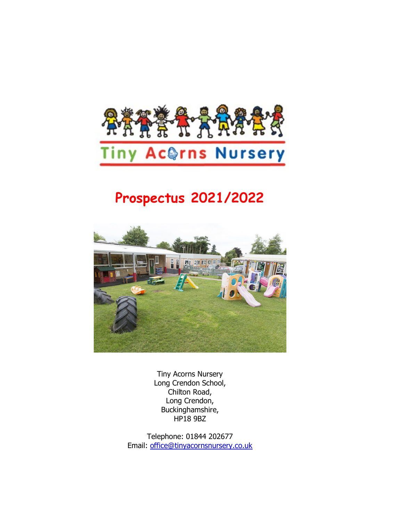

# Prospectus 2021/2022



Tiny Acorns Nursery Long Crendon School, Chilton Road, Long Crendon, Buckinghamshire, HP18 9BZ

Telephone: 01844 202677 Email: office@tinyacornsnursery.co.uk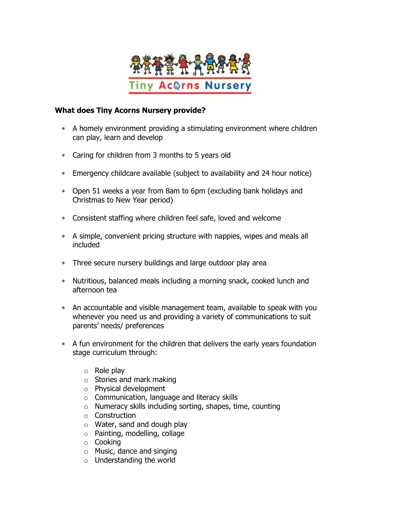

#### What does Tiny Acorns Nursery provide?

- A homely environment providing a stimulating environment where children can play, learn and develop
- Caring for children from 3 months to 5 years old
- Emergency childcare available (subject to availability and 24 hour notice)
- Open 51 weeks a year from 8am to 6pm (excluding bank holidays and Christmas to New Year period)
- Consistent staffing where children feel safe, loved and welcome
- A simple, convenient pricing structure with nappies, wipes and meals all included
- Three secure nursery buildings and large outdoor play area
- Nutritious, balanced meals including a morning snack, cooked lunch and afternoon tea
- An accountable and visible management team, available to speak with you whenever you need us and providing a variety of communications to suit parents' needs/ preferences
- A fun environment for the children that delivers the early years foundation stage curriculum through:
	- $\circ$  Role play
	- o Stories and mark making
	- o Physical development
	- o Communication, language and literacy skills
	- o Numeracy skills including sorting, shapes, time, counting
	- o Construction
	- o Water, sand and dough play
	- o Painting, modelling, collage
	- o Cooking
	- o Music, dance and singing
	- o Understanding the world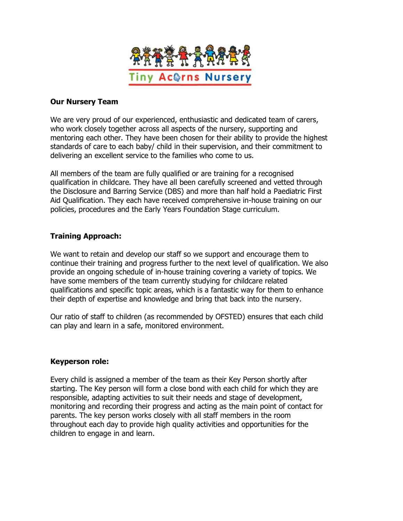

#### Our Nursery Team

We are very proud of our experienced, enthusiastic and dedicated team of carers, who work closely together across all aspects of the nursery, supporting and mentoring each other. They have been chosen for their ability to provide the highest standards of care to each baby/ child in their supervision, and their commitment to delivering an excellent service to the families who come to us.

All members of the team are fully qualified or are training for a recognised qualification in childcare. They have all been carefully screened and vetted through the Disclosure and Barring Service (DBS) and more than half hold a Paediatric First Aid Qualification. They each have received comprehensive in-house training on our policies, procedures and the Early Years Foundation Stage curriculum.

# Training Approach:

We want to retain and develop our staff so we support and encourage them to continue their training and progress further to the next level of qualification. We also provide an ongoing schedule of in-house training covering a variety of topics. We have some members of the team currently studying for childcare related qualifications and specific topic areas, which is a fantastic way for them to enhance their depth of expertise and knowledge and bring that back into the nursery.

Our ratio of staff to children (as recommended by OFSTED) ensures that each child can play and learn in a safe, monitored environment.

#### Keyperson role:

Every child is assigned a member of the team as their Key Person shortly after starting. The Key person will form a close bond with each child for which they are responsible, adapting activities to suit their needs and stage of development, monitoring and recording their progress and acting as the main point of contact for parents. The key person works closely with all staff members in the room throughout each day to provide high quality activities and opportunities for the children to engage in and learn.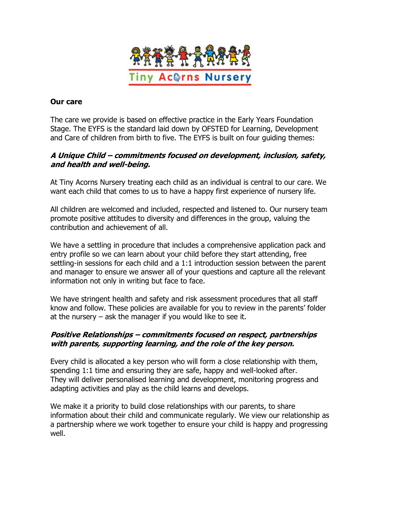

### Our care

The care we provide is based on effective practice in the Early Years Foundation Stage. The EYFS is the standard laid down by OFSTED for Learning, Development and Care of children from birth to five. The EYFS is built on four guiding themes:

# A Unique Child – commitments focused on development, inclusion, safety, and health and well-being.

At Tiny Acorns Nursery treating each child as an individual is central to our care. We want each child that comes to us to have a happy first experience of nursery life.

All children are welcomed and included, respected and listened to. Our nursery team promote positive attitudes to diversity and differences in the group, valuing the contribution and achievement of all.

We have a settling in procedure that includes a comprehensive application pack and entry profile so we can learn about your child before they start attending, free settling-in sessions for each child and a 1:1 introduction session between the parent and manager to ensure we answer all of your questions and capture all the relevant information not only in writing but face to face.

We have stringent health and safety and risk assessment procedures that all staff know and follow. These policies are available for you to review in the parents' folder at the nursery – ask the manager if you would like to see it.

### Positive Relationships – commitments focused on respect, partnerships with parents, supporting learning, and the role of the key person.

Every child is allocated a key person who will form a close relationship with them, spending 1:1 time and ensuring they are safe, happy and well-looked after. They will deliver personalised learning and development, monitoring progress and adapting activities and play as the child learns and develops.

We make it a priority to build close relationships with our parents, to share information about their child and communicate regularly. We view our relationship as a partnership where we work together to ensure your child is happy and progressing well.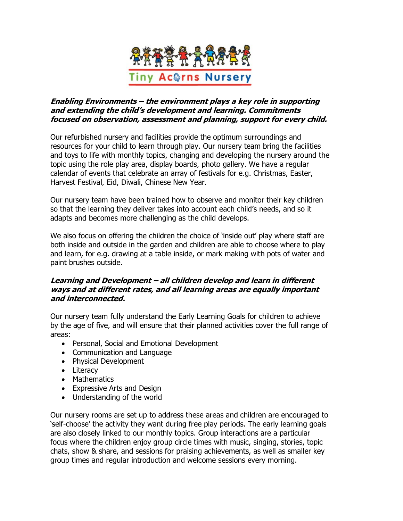

# Enabling Environments – the environment plays a key role in supporting and extending the child's development and learning. Commitments focused on observation, assessment and planning, support for every child.

Our refurbished nursery and facilities provide the optimum surroundings and resources for your child to learn through play. Our nursery team bring the facilities and toys to life with monthly topics, changing and developing the nursery around the topic using the role play area, display boards, photo gallery. We have a regular calendar of events that celebrate an array of festivals for e.g. Christmas, Easter, Harvest Festival, Eid, Diwali, Chinese New Year.

Our nursery team have been trained how to observe and monitor their key children so that the learning they deliver takes into account each child's needs, and so it adapts and becomes more challenging as the child develops.

We also focus on offering the children the choice of 'inside out' play where staff are both inside and outside in the garden and children are able to choose where to play and learn, for e.g. drawing at a table inside, or mark making with pots of water and paint brushes outside.

# Learning and Development – all children develop and learn in different ways and at different rates, and all learning areas are equally important and interconnected.

Our nursery team fully understand the Early Learning Goals for children to achieve by the age of five, and will ensure that their planned activities cover the full range of areas:

- Personal, Social and Emotional Development
- Communication and Language
- Physical Development
- Literacy
- Mathematics
- Expressive Arts and Design
- Understanding of the world

Our nursery rooms are set up to address these areas and children are encouraged to 'self-choose' the activity they want during free play periods. The early learning goals are also closely linked to our monthly topics. Group interactions are a particular focus where the children enjoy group circle times with music, singing, stories, topic chats, show & share, and sessions for praising achievements, as well as smaller key group times and regular introduction and welcome sessions every morning.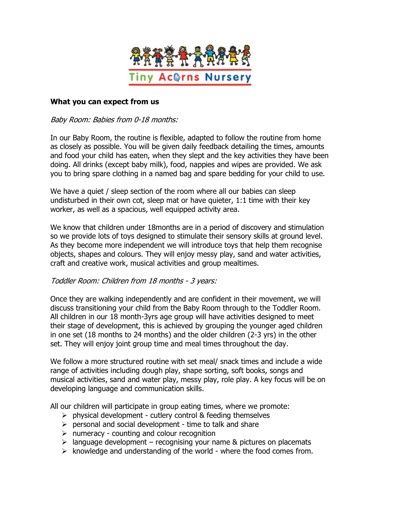

#### What you can expect from us

Baby Room: Babies from 0-18 months:

In our Baby Room, the routine is flexible, adapted to follow the routine from home as closely as possible. You will be given daily feedback detailing the times, amounts and food your child has eaten, when they slept and the key activities they have been doing. All drinks (except baby milk), food, nappies and wipes are provided. We ask you to bring spare clothing in a named bag and spare bedding for your child to use.

We have a quiet / sleep section of the room where all our babies can sleep undisturbed in their own cot, sleep mat or have quieter, 1:1 time with their key worker, as well as a spacious, well equipped activity area.

We know that children under 18months are in a period of discovery and stimulation so we provide lots of toys designed to stimulate their sensory skills at ground level. As they become more independent we will introduce toys that help them recognise objects, shapes and colours. They will enjoy messy play, sand and water activities, craft and creative work, musical activities and group mealtimes.

#### Toddler Room: Children from 18 months - 3 years:

Once they are walking independently and are confident in their movement, we will discuss transitioning your child from the Baby Room through to the Toddler Room. All children in our 18 month-3yrs age group will have activities designed to meet their stage of development, this is achieved by grouping the younger aged children in one set (18 months to 24 months) and the older children (2-3 yrs) in the other set. They will enjoy joint group time and meal times throughout the day.

We follow a more structured routine with set meal/ snack times and include a wide range of activities including dough play, shape sorting, soft books, songs and musical activities, sand and water play, messy play, role play. A key focus will be on developing language and communication skills.

All our children will participate in group eating times, where we promote:

- $\triangleright$  physical development cutlery control & feeding themselves
- $\triangleright$  personal and social development time to talk and share
- $\triangleright$  numeracy counting and colour recognition
- $\triangleright$  language development recognising your name & pictures on placemats
- $\triangleright$  knowledge and understanding of the world where the food comes from.